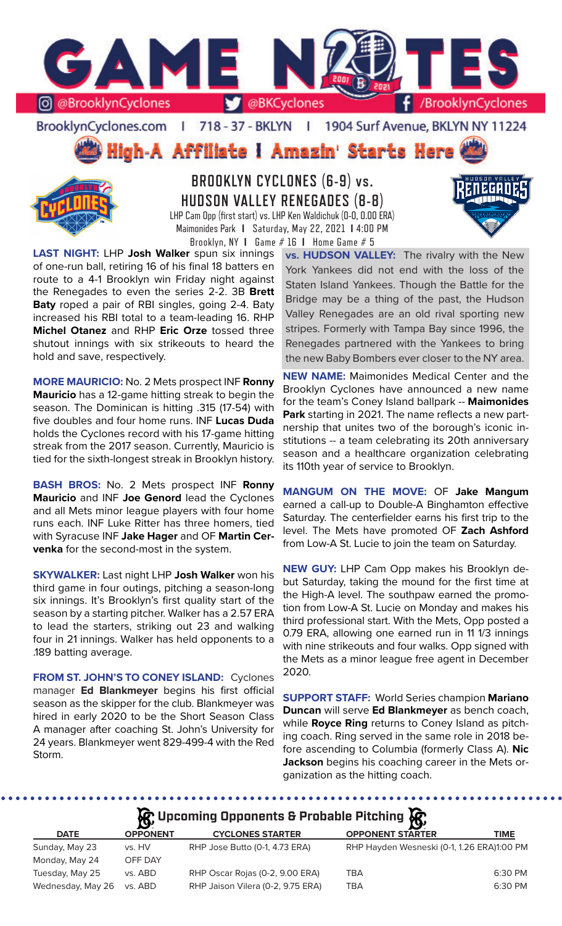

BrooklynCyclones.com | 718 - 37 - BKLYN | 1904 Surf Avenue, BKLYN NY 11224

High-A Affiliate I Amazin' Starts Here



**BROOKLYN CYCLONES (6-9) vs. HUDSON VALLEY RENEGADES (8-8)** LHP Cam Opp (first start) vs. LHP Ken Waldichuk (0-0, 0.00 ERA) Maimonides Park **I** Saturday, May 22, 2021 **I** 4:00 PM



**LAST NIGHT:** LHP **Josh Walker** spun six innings of one-run ball, retiring 16 of his final 18 batters en route to a 4-1 Brooklyn win Friday night against the Renegades to even the series 2-2. 3B **Brett Baty** roped a pair of RBI singles, going 2-4. Baty increased his RBI total to a team-leading 16. RHP **Michel Otanez** and RHP **Eric Orze** tossed three shutout innings with six strikeouts to heard the hold and save, respectively.

**MORE MAURICIO:** No. 2 Mets prospect INF **Ronny Mauricio** has a 12-game hitting streak to begin the season. The Dominican is hitting .315 (17-54) with five doubles and four home runs. INF **Lucas Duda** holds the Cyclones record with his 17-game hitting streak from the 2017 season. Currently, Mauricio is tied for the sixth-longest streak in Brooklyn history.

**BASH BROS:** No. 2 Mets prospect INF **Ronny Mauricio** and INF **Joe Genord** lead the Cyclones and all Mets minor league players with four home runs each. INF Luke Ritter has three homers, tied with Syracuse INF **Jake Hager** and OF **Martin Cervenka** for the second-most in the system.

**SKYWALKER:** Last night LHP **Josh Walker** won his third game in four outings, pitching a season-long six innings. It's Brooklyn's first quality start of the season by a starting pitcher. Walker has a 2.57 ERA to lead the starters, striking out 23 and walking four in 21 innings. Walker has held opponents to a .189 batting average.

**FROM ST. JOHN'S TO CONEY ISLAND:** Cyclones manager **Ed Blankmeyer** begins his first official season as the skipper for the club. Blankmeyer was hired in early 2020 to be the Short Season Class A manager after coaching St. John's University for 24 years. Blankmeyer went 829-499-4 with the Red Storm.

**vs. HUDSON VALLEY:** The rivalry with the New York Yankees did not end with the loss of the Staten Island Yankees. Though the Battle for the Bridge may be a thing of the past, the Hudson Valley Renegades are an old rival sporting new stripes. Formerly with Tampa Bay since 1996, the Renegades partnered with the Yankees to bring the new Baby Bombers ever closer to the NY area.

**NEW NAME:** Maimonides Medical Center and the Brooklyn Cyclones have announced a new name for the team's Coney Island ballpark -- **Maimonides Park** starting in 2021. The name reflects a new partnership that unites two of the borough's iconic institutions -- a team celebrating its 20th anniversary season and a healthcare organization celebrating its 110th year of service to Brooklyn.

**MANGUM ON THE MOVE:** OF **Jake Mangum** earned a call-up to Double-A Binghamton effective Saturday. The centerfielder earns his first trip to the level. The Mets have promoted OF **Zach Ashford** from Low-A St. Lucie to join the team on Saturday.

**NEW GUY:** LHP Cam Opp makes his Brooklyn debut Saturday, taking the mound for the first time at the High-A level. The southpaw earned the promotion from Low-A St. Lucie on Monday and makes his third professional start. With the Mets, Opp posted a 0.79 ERA, allowing one earned run in 11 1/3 innings with nine strikeouts and four walks. Opp signed with the Mets as a minor league free agent in December 2020.

**SUPPORT STAFF:** World Series champion **Mariano Duncan** will serve **Ed Blankmeyer** as bench coach, while **Royce Ring** returns to Coney Island as pitching coach. Ring served in the same role in 2018 before ascending to Columbia (formerly Class A). **Nic Jackson** begins his coaching career in the Mets organization as the hitting coach.

. . . . . . . . . . .

**Upcoming Opponents & Probable Pitching**

|                   | $\mathbf{B}^{\prime}$ |                                   | - <b>19</b>                                |         |
|-------------------|-----------------------|-----------------------------------|--------------------------------------------|---------|
| <b>DATE</b>       | <b>OPPONENT</b>       | <b>CYCLONES STARTER</b>           | <b>OPPONENT STARTER</b>                    | TIME    |
| Sunday, May 23    | vs. HV                | RHP Jose Butto (0-1, 4.73 ERA)    | RHP Hayden Wesneski (0-1, 1.26 ERA)1:00 PM |         |
| Monday, May 24    | OFF DAY               |                                   |                                            |         |
| Tuesday, May 25   | vs. ABD               | RHP Oscar Rojas (0-2, 9.00 ERA)   | TBA                                        | 6:30 PM |
| Wednesday, May 26 | vs. ABD               | RHP Jaison Vilera (0-2, 9.75 ERA) | TBA                                        | 6:30 PM |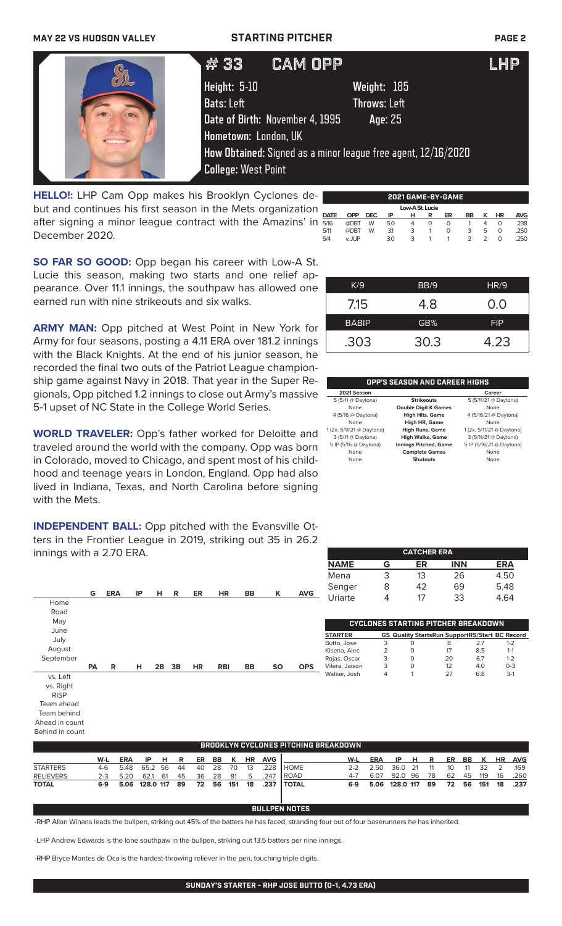## **MAY 22 VS HUDSON VALLEY STARTING PITCHER PAGE 2**

| #33                        | <b>CAM OPP</b>                  |                                                               | LHP |
|----------------------------|---------------------------------|---------------------------------------------------------------|-----|
| Height: 5-10               |                                 | Weight: 185                                                   |     |
| <b>Bats:</b> Left          |                                 | Throws: Left <b>\</b>                                         |     |
|                            | Date of Birth: November 4, 1995 | Age: 25                                                       |     |
| Hometown: London, UK       |                                 |                                                               |     |
|                            |                                 | How Obtained: Signed as a minor league free agent, 12/16/2020 |     |
| <b>College: West Point</b> |                                 |                                                               |     |

**HELLO!:** LHP Cam Opp makes his Brooklyn Cyclones debut and continues his first season in the Mets organization after signing a minor league contract with the Amazins' in December 2020.

|             | 2021 GAME-BY-GAME |      |     |                 |   |    |    |   |           |            |
|-------------|-------------------|------|-----|-----------------|---|----|----|---|-----------|------------|
|             |                   |      |     | Low-A St. Lucie |   |    |    |   |           |            |
| <b>DATE</b> | OPP               | DEC. | ΙP  | н               | R | ER | BB | ĸ | <b>HR</b> | <b>AVG</b> |
| 5/16        | @DBT              | W    | 5.0 | 4               | O | O  |    | Δ | 0         | .238       |
| 5/11        | @DBT              | W    | 31  | 3               |   | O  | 3  | 5 | O         | .250       |
| 5/4         | v II IP           |      | 3.0 | 3               |   |    |    |   | O         | 250        |

K/9 BB/9 HR/9

7.15 4.8 0.0 BABIP **GB%** FIP

.303 30.3 4.23

**CATCHER ERA NAME G ER INN ERA**

**OPP'S SEASON AND CAREER HIGHS 2021 Season Career**<br>
5 (5/11 @ Daytona) **Career S** (5/11/21 @ Daytona)

None **Double Digit K Games** None 4 (5/16 @ Daytona) **High Hits, Game** 4 (5/16/21 @ Daytona)

1 (2x, 5/11/21 @ Daytona) **High Runs, Game** 1 (2x, 5/11/21 @ Daytona)

5 IP (5/16 @ Daytona) **Innings Pitched, Game** 5 IP (5/16/21 @ Daytona) None **Complete Games** None None **Shutouts** None

None<br>**High HR, Game**<br>1 (2x, 5/11/21 @ Daytona) **High Runs, Gam**e

5 (5/11 @ Daytona) **Strikeouts** 5 (5/11/21 @ Daytona)

**igh Walks, Game** 3 (5/11/21 @ Daytona)<br>**Ings Pitched, Game** 5 IP (5/16/21 @ Daytona)

**SO FAR SO GOOD:** Opp began his career with Low-A St. Lucie this season, making two starts and one relief appearance. Over 11.1 innings, the southpaw has allowed one earned run with nine strikeouts and six walks.

**ARMY MAN:** Opp pitched at West Point in New York for Army for four seasons, posting a 4.11 ERA over 181.2 innings with the Black Knights. At the end of his junior season, he recorded the final two outs of the Patriot League championship game against Navy in 2018. That year in the Super Regionals, Opp pitched 1.2 innings to close out Army's massive 5-1 upset of NC State in the College World Series.

**WORLD TRAVELER:** Opp's father worked for Deloitte and traveled around the world with the company. Opp was born in Colorado, moved to Chicago, and spent most of his childhood and teenage years in London, England. Opp had also lived in Indiana, Texas, and North Carolina before signing with the Mets.

**INDEPENDENT BALL:** Opp pitched with the Evansville Otters in the Frontier League in 2019, striking out 35 in 26.2 innings with a 2.70 ERA.



|                  |     |                                     |      |  |          |  |                              |                | ' BROOKLYN CYCLONES PITCHING BREAKDOWN . |     |                       |         |      |    |            |  |                   |
|------------------|-----|-------------------------------------|------|--|----------|--|------------------------------|----------------|------------------------------------------|-----|-----------------------|---------|------|----|------------|--|-------------------|
|                  | W-L | <b>ERA</b>                          | IPHR |  |          |  |                              | ER BB K HR AVG |                                          | W-L | ERA                   | IPHR    |      |    |            |  | ER BB K HR AVG    |
| <b>STARTERS</b>  |     | 4-6 5.48 65.2 56 44                 |      |  | 40 28 70 |  | $\therefore$ 13 $\therefore$ |                | .228 HOME                                |     | $2 - 2$ 2.50          | 36.0 21 | - 11 |    | 10 11 32 2 |  | .169              |
| <b>RELIEVERS</b> |     | 2-3 5.20 62.1 61 45 36 28 81 5 .247 |      |  |          |  |                              |                | <b>I ROAD</b>                            | 4-7 | 6.07 92.0 96 78       |         |      | 62 | 45 119     |  | 16 .260           |
| <b>TOTAL</b>     |     | 6-9 5.06 128.0 117 89               |      |  |          |  |                              |                | 72 56 151 18 .237 TOTAL                  |     | 6-9 5.06 128.0 117 89 |         |      |    |            |  | 72 56 151 18 .237 |

## **BULLPEN NOTES**

-RHP Allan Winans leads the bullpen, striking out 45% of the batters he has faced, stranding four out of four baserunners he has inherited.

-LHP Andrew Edwards is the lone southpaw in the bullpen, striking out 13.5 batters per nine innings.

-RHP Bryce Montes de Oca is the hardest-throwing reliever in the pen, touching triple digits.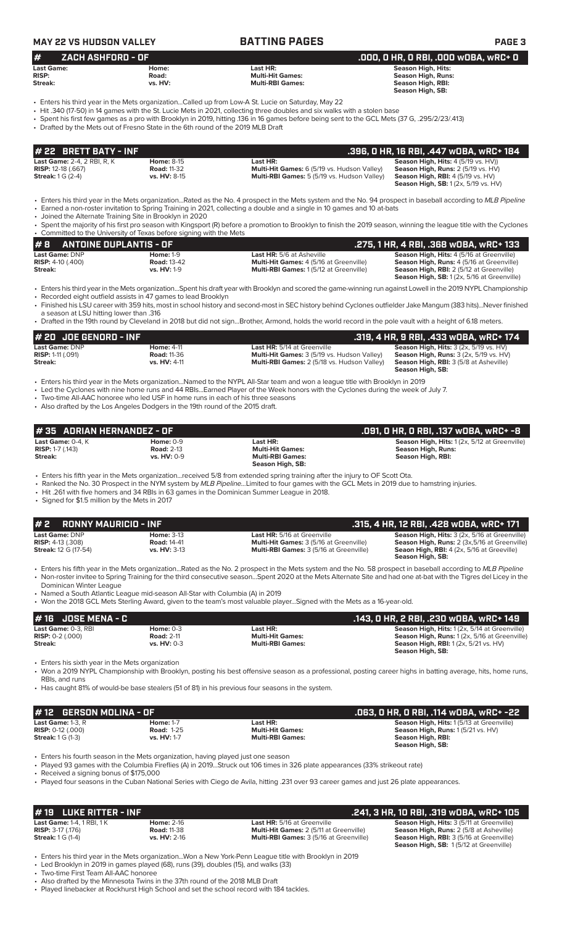| #<br><b>ZACH ASHFORD - OF</b>                                                    |                           |                                                                                                                                                                                                                                                                            | .000, 0 HR, 0 RBI, .000 w0BA, wRC+ 0                                                     |
|----------------------------------------------------------------------------------|---------------------------|----------------------------------------------------------------------------------------------------------------------------------------------------------------------------------------------------------------------------------------------------------------------------|------------------------------------------------------------------------------------------|
| <b>Last Game:</b><br><b>RISP:</b><br>Streak:                                     | Home:<br>Road:<br>vs. HV: | Last HR:<br><b>Multi-Hit Games:</b><br><b>Multi-RBI Games:</b>                                                                                                                                                                                                             | Season High, Hits:<br><b>Season High, Runs:</b><br>Season High, RBI:<br>Season High, SB: |
|                                                                                  |                           | Enters his third year in the Mets organizationCalled up from Low-A St. Lucie on Saturday, May 22                                                                                                                                                                           |                                                                                          |
| • Drafted by the Mets out of Fresno State in the 6th round of the 2019 MLB Draft |                           | • Hit .340 (17-50) in 14 games with the St. Lucie Mets in 2021, collecting three doubles and six walks with a stolen base<br>• Spent his first few games as a pro with Brooklyn in 2019, hitting .136 in 16 games before being sent to the GCL Mets (37 G, .295/2/23/.413) |                                                                                          |
| # 22 BRETT BATY - INF                                                            |                           |                                                                                                                                                                                                                                                                            | .396, 0 HR, 16 RBI, .447 w0BA, wRC+ 184                                                  |

• Enters his third year in the Mets organization...Rated as the No. 4 prospect in the Mets system and the No. 94 prospect in baseball according to *MLB Pipeline* • Earned a non-roster invitation to Spring Training in 2021, collecting a double and a single in 10 games and 10 at-bats

• Joined the Alternate Training Site in Brooklyn in 2020

• Spent the majority of his first pro season with Kingsport (R) before a promotion to Brooklyn to finish the 2019 season, winning the league title with the Cyclones • Committed to the University of Texas before signing with the Mets

| #B                         | ANTOINE DUPLANTIS - OF |                    |                                                | .275, 1 HR, 4 RBI, .368 wOBA, wRC+ 133             |
|----------------------------|------------------------|--------------------|------------------------------------------------|----------------------------------------------------|
| <b>Last Game: DNP</b>      |                        | <b>Home: 1-9</b>   | <b>Last HR:</b> 5/6 at Asheville               | <b>Season High, Hits: 4 (5/16 at Greenville)</b>   |
| <b>RISP:</b> 4-10 $(.400)$ |                        | <b>Road: 13-42</b> | <b>Multi-Hit Games: 4 (5/16 at Greenville)</b> | <b>Season High, Runs:</b> 4 (5/16 at Greenville)   |
| Streak:                    |                        | $vs. HV: 1-9$      | <b>Multi-RBI Games: 1(5/12 at Greenville)</b>  | <b>Season High, RBI:</b> 2 (5/12 at Greenville)    |
|                            |                        |                    |                                                | <b>Season High, SB:</b> 1 (2x, 5/16 at Greenville) |

• Enters his third year in the Mets organization...Spent his draft year with Brooklyn and scored the game-winning run against Lowell in the 2019 NYPL Championship • Recorded eight outfield assists in 47 games to lead Brooklyn

• Finished his LSU career with 359 hits, most in school history and second-most in SEC history behind Cyclones outfielder Jake Mangum (383 hits)...Never finished

a season at LSU hitting lower than .316 • Drafted in the 19th round by Cleveland in 2018 but did not sign...Brother, Armond, holds the world record in the pole vault with a height of 6.18 meters.

| $#$ 20 JOE GENORD - INF    |                     |                                                    | .319, 4 HR, 9 RBI, .433 wOBA, wRC+ 174                   |
|----------------------------|---------------------|----------------------------------------------------|----------------------------------------------------------|
| Last Game: DNP             | <b>Home: 4-11</b>   | <b>Last HR:</b> 5/14 at Greenville                 | <b>Season High, Hits:</b> $3$ ( $2x$ , $5/19$ vs. $HV$ ) |
| <b>RISP:</b> 1-11 $(.091)$ | <b>Road: 11-36</b>  | <b>Multi-Hit Games:</b> 3 (5/19 vs. Hudson Valley) | <b>Season High, Runs:</b> $3$ ( $2x$ , $5/19$ vs. $HV$ ) |
| Streak:                    | <b>vs. HV: 4-11</b> | <b>Multi-RBI Games: 2 (5/18 vs. Hudson Valley)</b> | <b>Season High, RBI:</b> 3 (5/8 at Asheville)            |
|                            |                     |                                                    | Season High, SB:                                         |

• Enters his third year in the Mets organization...Named to the NYPL All-Star team and won a league title with Brooklyn in 2019

- Led the Cyclones with nine home runs and 44 RBIs...Earned Player of the Week honors with the Cyclones during the week of July 7.
- Two-time All-AAC honoree who led USF in home runs in each of his three seasons

• Also drafted by the Los Angeles Dodgers in the 19th round of the 2015 draft.

|                                                                           | • Also drafted by the Los Angeles Dodgers in the 19th round of the 2015 draft.     |                                                                                                                                                                                                                                                                                                                                                                                                                                                             |                                                                                                                                                                        |
|---------------------------------------------------------------------------|------------------------------------------------------------------------------------|-------------------------------------------------------------------------------------------------------------------------------------------------------------------------------------------------------------------------------------------------------------------------------------------------------------------------------------------------------------------------------------------------------------------------------------------------------------|------------------------------------------------------------------------------------------------------------------------------------------------------------------------|
| #35 ADRIAN HERNANDEZ - OF                                                 |                                                                                    |                                                                                                                                                                                                                                                                                                                                                                                                                                                             | .091, 0 HR, 0 RBI, .137 w0BA, wRC+ -8                                                                                                                                  |
| Last Game: 0-4, K<br><b>RISP:</b> 1-7 $(.143)$<br>Streak:                 | <b>Home: 0-9</b><br><b>Road: 2-13</b><br>vs. HV: 0-9                               | Last HR:<br><b>Multi-Hit Games:</b><br><b>Multi-RBI Games:</b><br>Season High, SB:                                                                                                                                                                                                                                                                                                                                                                          | Season High, Hits: 1 (2x, 5/12 at Greenville)<br><b>Season High, Runs:</b><br><b>Season High, RBI:</b>                                                                 |
| • Signed for \$1.5 million by the Mets in 2017                            |                                                                                    | • Enters his fifth year in the Mets organizationreceived 5/8 from extended spring training after the injury to OF Scott Ota.<br>• Ranked the No. 30 Prospect in the NYM system by MLB PipelineLimited to four games with the GCL Mets in 2019 due to hamstring injuries.<br>• Hit .261 with five homers and 34 RBIs in 63 games in the Dominican Summer League in 2018.                                                                                     |                                                                                                                                                                        |
| #2<br><b>RONNY MAURICIO - INF</b>                                         |                                                                                    |                                                                                                                                                                                                                                                                                                                                                                                                                                                             | .315, 4 HR, 12 RBI, .428 wDBA, wRC+ 171                                                                                                                                |
| Last Game: DNP<br><b>RISP:</b> 4-13 (.308)<br><b>Streak:</b> 12 G (17-54) | <b>Home: 3-13</b><br><b>Road: 14-41</b><br>vs. HV: 3-13                            | Last HR: 5/16 at Greenville<br>Multi-Hit Games: 3 (5/16 at Greenville)<br>Multi-RBI Games: 3 (5/16 at Greenville)                                                                                                                                                                                                                                                                                                                                           | Season High, Hits: 3 (2x, 5/16 at Greenville)<br>Season High, Runs: 2 (3x,5/16 at Greenville)<br>Seaon High, RBI: 4 (2x, 5/16 at Greeville)<br><b>Season High, SB:</b> |
| Dominican Winter League                                                   | • Named a South Atlantic League mid-season All-Star with Columbia (A) in 2019      | • Enters his fifth year in the Mets organizationRated as the No. 2 prospect in the Mets system and the No. 58 prospect in baseball according to MLB Pipeline<br>• Non-roster invitee to Spring Training for the third consecutive seasonSpent 2020 at the Mets Alternate Site and had one at-bat with the Tigres del Licey in the<br>• Won the 2018 GCL Mets Sterling Award, given to the team's most valuable playerSigned with the Mets as a 16-year-old. |                                                                                                                                                                        |
| <b>JOSE MENA - C</b><br># 16                                              |                                                                                    |                                                                                                                                                                                                                                                                                                                                                                                                                                                             | .143, 0 HR, 2 RBI, .230 w0BA, wRC+ 149                                                                                                                                 |
| Last Game: 0-3, RBI<br><b>RISP:</b> 0-2 (.000)<br>Streak:                 | Home: $0-3$<br><b>Road: 2-11</b><br>vs. HV: 0-3                                    | Last HR:<br><b>Multi-Hit Games:</b><br><b>Multi-RBI Games:</b>                                                                                                                                                                                                                                                                                                                                                                                              | Season High, Hits: 1 (2x, 5/14 at Greenville)<br>Season High, Runs: 1 (2x, 5/16 at Greenville)<br>Season High, RBI: 1 (2x, 5/21 vs. HV)<br>Season High, SB:            |
| • Enters his sixth year in the Mets organization<br>RBIs, and runs        |                                                                                    | • Won a 2019 NYPL Championship with Brooklyn, posting his best offensive season as a professional, posting career highs in batting average, hits, home runs,<br>• Has caught 81% of would-be base stealers (51 of 81) in his previous four seasons in the system.                                                                                                                                                                                           |                                                                                                                                                                        |
|                                                                           |                                                                                    |                                                                                                                                                                                                                                                                                                                                                                                                                                                             |                                                                                                                                                                        |
| <b>GERSON MOLINA - OF</b><br># 12                                         |                                                                                    |                                                                                                                                                                                                                                                                                                                                                                                                                                                             | .063, O HR, O RBI, .114 wOBA, wRC+ -22                                                                                                                                 |
| Last Game: 1-3, R                                                         | <b>Home: 1-7</b>                                                                   | Last HR:                                                                                                                                                                                                                                                                                                                                                                                                                                                    | Season High, Hits: 1 (5/13 at Greenville)                                                                                                                              |
| <b>RISP:</b> 0-12 (.000)<br><b>Streak:</b> 1 G (1-3)                      | <b>Road: 1-25</b><br>vs. HV: 1-7                                                   | <b>Multi-Hit Games:</b><br><b>Multi-RBI Games:</b>                                                                                                                                                                                                                                                                                                                                                                                                          | Season High, Runs: 1 (5/21 vs. HV)<br>Season High, RBI:<br><b>Season High, SB:</b>                                                                                     |
|                                                                           | • Enters his fourth season in the Mets organization, having played just one season |                                                                                                                                                                                                                                                                                                                                                                                                                                                             |                                                                                                                                                                        |

• Played 93 games with the Columbia Fireflies (A) in 2019...Struck out 106 times in 326 plate appearances (33% strikeout rate)

• Received a signing bonus of \$175,000

• Played four seasons in the Cuban National Series with Ciego de Avila, hitting .231 over 93 career games and just 26 plate appearances.

| $#$ 19 LUKE RITTER - INF          |                     |                                                | .241, 3 HR, 10 RBI, .319 wOBA, wRC+ 105          |
|-----------------------------------|---------------------|------------------------------------------------|--------------------------------------------------|
| <b>Last Game: 1-4, 1 RBI, 1 K</b> | <b>Home: 2-16</b>   | <b>Last HR:</b> 5/16 at Greenville             | <b>Season High, Hits: 3 (5/11 at Greenville)</b> |
| <b>RISP:</b> $3-17$ (.176)        | <b>Road: 11-38</b>  | <b>Multi-Hit Games:</b> 2 (5/11 at Greenville) | <b>Season High, Runs: 2 (5/8 at Asheville)</b>   |
| <b>Streak: 1 G (1-4)</b>          | <b>vs. HV: 2-16</b> | <b>Multi-RBI Games: 3 (5/16 at Greenville)</b> | <b>Season High, RBI: 3 (5/16 at Greenville)</b>  |
|                                   |                     |                                                | <b>Season High, SB: 1(5/12 at Greenville)</b>    |

• Enters his third year in the Mets organization...Won a New York-Penn League title with Brooklyn in 2019

• Led Brooklyn in 2019 in games played (68), runs (39), doubles (15), and walks (33) • Two-time First Team All-AAC honoree

• Also drafted by the Minnesota Twins in the 37th round of the 2018 MLB Draft

• Played linebacker at Rockhurst High School and set the school record with 184 tackles.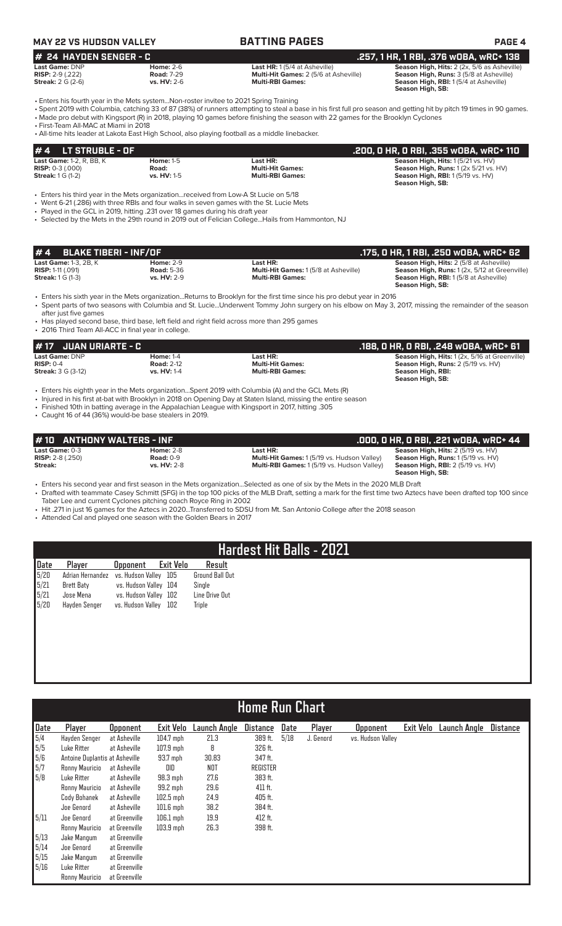# **MAY 22 VS HUDSON VALLEY BATTING PAGES PAGE 4**

| $#$ 24 HAYDEN SENGER - C   |                    |                                              | .257, 1 HR, 1 RBI, .376 wOBA, wRC+ 138         |
|----------------------------|--------------------|----------------------------------------------|------------------------------------------------|
| <b>Last Game: DNP</b>      | Home: $2-6$        | <b>Last HR:</b> 1(5/4 at Asheville)          | Season High, Hits: 2 (2x, 5/6 as Asheville)    |
| <b>RISP:</b> $2-9$ (.222)  | <b>Road: 7-29</b>  | <b>Multi-Hit Games: 2 (5/6 at Asheville)</b> | <b>Season High, Runs: 3 (5/8 at Asheville)</b> |
| <b>Streak:</b> $2 G (2-6)$ | <b>vs. HV: 2-6</b> | <b>Multi-RBI Games:</b>                      | <b>Season High, RBI:</b> 1(5/4 at Asheville)   |

**# 24 HAYDEN SENGER - C .257, 1 HR, 1 RBI, .376 wOBA, wRC+ 138 Season High, SB:** 

• Enters his fourth year in the Mets system...Non-roster invitee to 2021 Spring Training

• Spent 2019 with Columbia, catching 33 of 87 (38%) of runners attempting to steal a base in his first full pro season and getting hit by pitch 19 times in 90 games. • Made pro debut with Kingsport (R) in 2018, playing 10 games before finishing the season with 22 games for the Brooklyn Cyclones

• First-Team All-MAC at Miami in 2018

• All-time hits leader at Lakota East High School, also playing football as a middle linebacker.

| $\bm{\sharp}$ 4 LT STRUBLE - OF |                    |                         | .200, 0 HR, 0 RBI, .355 w0BA, wRC+ 110                |
|---------------------------------|--------------------|-------------------------|-------------------------------------------------------|
| <b>Last Game: 1-2, R, BB, K</b> | <b>Home: 1-5</b>   | Last HR:                | <b>Season High, Hits: 1(5/21 vs. HV)</b>              |
| <b>RISP:</b> $0-3(0.000)$       | Road:              | <b>Multi-Hit Games:</b> | <b>Season High, Runs:</b> $1(2x 5/21 \text{ vs. HV})$ |
| <b>Streak:</b> 1 G (1-2)        | <b>vs. HV: 1-5</b> | <b>Multi-RBI Games:</b> | Season High, RBI: 1(5/19 vs. HV)                      |
|                                 |                    |                         | Season High, SB:                                      |

• Enters his third year in the Mets organization...received from Low-A St Lucie on 5/18

• Went 6-21 (.286) with three RBIs and four walks in seven games with the St. Lucie Mets

• Played in the GCL in 2019, hitting .231 over 18 games during his draft year

• Selected by the Mets in the 29th round in 2019 out of Felician College...Hails from Hammonton, NJ

| $# 4$ BLAKE TIBERI - INF/OF  |                   |                                             | .175. O HR. 1 RBI. .250 wOBA. wRC+ 62          |
|------------------------------|-------------------|---------------------------------------------|------------------------------------------------|
| <b>Last Game: 1-3, 2B, K</b> | <b>Home: 2-9</b>  | Last HR:                                    | <b>Season High, Hits: 2 (5/8 at Asheville)</b> |
| <b>RISP:</b> 1-11 $(.091)$   | <b>Road: 5-36</b> | <b>Multi-Hit Games: 1(5/8 at Asheville)</b> | Season High, Runs: 1(2x, 5/12 at Greenville)   |
| <b>Streak:</b> 1 G (1-3)     | vs. HV: 2-9       | <b>Multi-RBI Games:</b>                     | <b>Season High, RBI:</b> 1(5/8 at Asheville)   |
|                              |                   |                                             | Season High, SB:                               |

• Enters his sixth year in the Mets organization...Returns to Brooklyn for the first time since his pro debut year in 2016

• Spent parts of two seasons with Columbia and St. Lucie...Underwent Tommy John surgery on his elbow on May 3, 2017, missing the remainder of the season after just five games

• Has played second base, third base, left field and right field across more than 295 games • 2016 Third Team All-ACC in final year in college.

## **# 17 JUAN URIARTE - C .188, 0 HR, 0 RBI, .248 wOBA, wRC+ 61 Last Game:** DNP **Home:** 1-4 **Last HR: Season High, Hits:** 1 (2x, 5/16 at Greenville) **RISP:** 0-4 **Road:** 2-12 **Multi-Hit Games: Season High, Runs:** 2 (5/19 vs. HV) **Streak:** 3 G (3-12) **vs. HV:** 1-4 **Multi-RBI Games: Season High, RBI: Season High, SB:**

• Enters his eighth year in the Mets organization...Spent 2019 with Columbia (A) and the GCL Mets (R)

• Injured in his first at-bat with Brooklyn in 2018 on Opening Day at Staten Island, missing the entire season

• Finished 10th in batting average in the Appalachian League with Kingsport in 2017, hitting .305

• Caught 16 of 44 (36%) would-be base stealers in 2019.

| #10 ANTHONY WALTERS - INF |                    |                                                    | .000, 0 HR, 0 RBI, .221 w0BA, wRC+ 44     |
|---------------------------|--------------------|----------------------------------------------------|-------------------------------------------|
| Last Game: 0-3            | <b>Home: 2-8</b>   | Last HR:                                           | <b>Season High, Hits: 2 (5/19 vs. HV)</b> |
| <b>RISP:</b> $2-8$ (.250) | <b>Road: 0-9</b>   | <b>Multi-Hit Games: 1(5/19 vs. Hudson Valley)</b>  | <b>Season High, Runs: 1(5/19 vs. HV)</b>  |
| Streak:                   | <b>vs. HV: 2-8</b> | <b>Multi-RBI Games: 1 (5/19 vs. Hudson Valley)</b> | <b>Season High, RBI:</b> 2 (5/19 vs. HV)  |
|                           |                    |                                                    | Season High, SB:                          |

• Enters his second year and first season in the Mets organization...Selected as one of six by the Mets in the 2020 MLB Draft • Drafted with teammate Casey Schmitt (SFG) in the top 100 picks of the MLB Draft, setting a mark for the first time two Aztecs have been drafted top 100 since

Taber Lee and current Cyclones pitching coach Royce Ring in 2002

• Hit .271 in just 16 games for the Aztecs in 2020...Transferred to SDSU from Mt. San Antonio College after the 2018 season

• Attended Cal and played one season with the Golden Bears in 2017

# **Hardest Hit Balls - 2021**

|                                                                                          | Player        | Opponent Exit Velo                     | Result                 |
|------------------------------------------------------------------------------------------|---------------|----------------------------------------|------------------------|
|                                                                                          |               | Adrian Hernandez vs. Hudson Valley 105 | <b>Ground Ball Out</b> |
|                                                                                          | Brett Baty    | vs. Hudson Valley 104                  | Single                 |
|                                                                                          | Jose Mena     | vs. Hudson Valley 102                  | Line Drive Out         |
| $\begin{array}{r} \underline{\textbf{Date}} \\ 5/20 \\ 5/21 \\ 5/21 \\ 5/20 \end{array}$ | Hayden Senger | vs. Hudson Valley 102                  | Triple                 |
|                                                                                          |               |                                        |                        |

|                                                   | <b>Home Run Chart</b>          |                 |             |              |                 |      |           |                   |           |                     |                 |
|---------------------------------------------------|--------------------------------|-----------------|-------------|--------------|-----------------|------|-----------|-------------------|-----------|---------------------|-----------------|
| Date                                              | Player                         | <b>Opponent</b> | Exit Velo   | Launch Angle | <b>Distance</b> | Date | Player    | <b>Opponent</b>   | Exit Velo | <b>Launch Angle</b> | <b>Distance</b> |
|                                                   | Hayden Senger                  | at Asheville    | $104.7$ mph | 21.3         | 389 ft.         | 5/18 | J. Genord | vs. Hudson Valley |           |                     |                 |
| $\begin{array}{r} 5/4 \\ 5/5 \end{array}$         | Luke Ritter                    | at Asheville    | $107.9$ mph | 8            | 326 ft.         |      |           |                   |           |                     |                 |
| $\begin{bmatrix} 5/6 \\ 5/7 \\ 5/8 \end{bmatrix}$ | Antoine Duplantis at Asheville |                 | 93.7 mph    | 30.83        | 347 ft.         |      |           |                   |           |                     |                 |
|                                                   | Ronny Mauricio                 | at Asheville    | DID         | NOT          | <b>REGISTER</b> |      |           |                   |           |                     |                 |
|                                                   | Luke Ritter                    | at Asheville    | 98.3 mph    | 27.6         | 383 ft.         |      |           |                   |           |                     |                 |
|                                                   | Ronny Mauricio                 | at Asheville    | 99.2 mph    | 29.6         | 411 ft.         |      |           |                   |           |                     |                 |
|                                                   | Cody Bohanek                   | at Asheville    | $102.5$ mph | 24.9         | 405 ft.         |      |           |                   |           |                     |                 |
|                                                   | Joe Genord                     | at Asheville    | $101.6$ mph | 38.2         | 384 ft.         |      |           |                   |           |                     |                 |
| 5/11                                              | Joe Genord                     | at Greenville   | $106.1$ mph | 19.9         | 412 ft.         |      |           |                   |           |                     |                 |
|                                                   | Ronny Mauricio                 | at Greenville   | $103.9$ mph | 26.3         | 398 ft.         |      |           |                   |           |                     |                 |
| 5/13                                              | Jake Mangum                    | at Greenville   |             |              |                 |      |           |                   |           |                     |                 |
| 5/14                                              | Joe Genord                     | at Greenville   |             |              |                 |      |           |                   |           |                     |                 |
| 5/15                                              | Jake Mangum                    | at Greenville   |             |              |                 |      |           |                   |           |                     |                 |
| 5/16                                              | Luke Ritter                    | at Greenville   |             |              |                 |      |           |                   |           |                     |                 |
|                                                   | Ronny Mauricio                 | at Greenville   |             |              |                 |      |           |                   |           |                     |                 |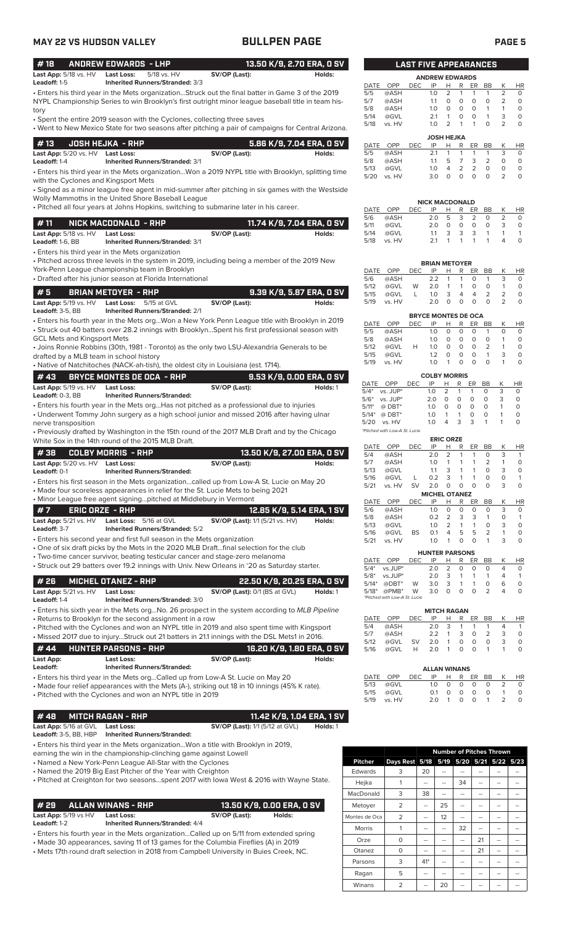## **MAY 22 VS HUDSON VALLEY BULLPEN PAGE PAGE 5** • Enters his fourth year in the Mets org...Won a New York Penn League title with Brooklyn in 2019 • Struck out 40 batters over 28.2 innings with Brooklyn...Spent his first professional season with GCL Mets and Kingsport Mets • Joins Ronnie Robbins (30th, 1981 - Toronto) as the only two LSU-Alexandria Generals to be drafted by a MLB team in school history • Native of Natchitoches (NACK-ah-tish), the oldest city in Louisiana (est. 1714). **# 5 BRIAN METOYER - RHP 9.39 K/9, 5.87 ERA, 0 SV Last App:** 5/19 vs. HV **Last Loss:** 5/15 at GVL **SV/OP (Last): Holds:** Holds: **Holds: Holds: Leadoff:** 3-5. BB **Inherited Runners/Stranded:** 2/1 **Inherited Runners/Stranded:** 2/1 • Enters his third year in the Mets organization...Won a 2019 NYPL title with Brooklyn, splitting time with the Cyclones and Kingsport Mets • Signed as a minor league free agent in mid-summer after pitching in six games with the Westside Wolly Mammoths in the United Shore Baseball League • Pitched all four years at Johns Hopkins, switching to submarine later in his career. **# 13 JOSH HEJKA - RHP 5.86 K/9, 7.04 ERA, 0 SV Last App:** 5/20 vs. HV **Last Loss:** SV/OP (Last): SV/OP (Last): Holds: Leadoff: 1-4 **Interited Runners/Stranded:** 3/1 **Inherited Runners/Stranded: 3/1** • Enters his third year in the Mets organization • Pitched across three levels in the system in 2019, including being a member of the 2019 New York-Penn League championship team in Brooklyn • Drafted after his junior season at Florida International **# 11 NICK MACDONALD - RHP 11.74 K/9, 7.04 ERA, 0 SV Last App:** 5/18 vs. HV **Last Loss: SV/OP (Last): SV/OP (Last): Holds:**<br>Leadoff: 1-6, BB **Inherited Runners/Stranded:** 3/1 **Leadoff:** 1-6, BB **Inherited Runners/Stranded:** 3/1 • Enters his third year in the Mets organization...Struck out the final batter in Game 3 of the 2019 NYPL Championship Series to win Brooklyn's first outright minor league baseball title in team history • Spent the entire 2019 season with the Cyclones, collecting three saves • Went to New Mexico State for two seasons after pitching a pair of campaigns for Central Arizona. **# 18 ANDREW EDWARDS - LHP 13.50 K/9, 2.70 ERA, 0 SV** Last App:  $5/18$  vs.  $\overline{HV}$  **Last Loss:** 5/18 vs. HV **SV/OP (Last): Holds: Holds: Holds: Holds: Holds: Holds: Holds: Holds: Holds: Holds: Holds: Holds: Holds: Holds: Holds: Holds: Holds: Inherited Runners/Stranded:** 3/3

| <b>#43</b>                           | BRYCE MONTES DE OCA - RHP          |               | 9.53 K/9. 0.00 ERA. 0 SV |
|--------------------------------------|------------------------------------|---------------|--------------------------|
| <b>Last App:</b> $5/19$ vs. $HV$     | Last Loss:                         | SV/OP (Last): | Holds: 1                 |
| <b>Leadoff: <math>0-3</math>. BB</b> | <b>Inherited Runners/Stranded:</b> |               |                          |

• Enters his fourth year in the Mets org...Has not pitched as a professional due to injuries • Underwent Tommy John surgery as a high school junior and missed 2016 after having ulnar

nerve transposition • Previously drafted by Washington in the 15th round of the 2017 MLB Draft and by the Chicago

White Sox in the 14th round of the 2015 MLB Draft.

| 1 # 38      COLBY MORRIS  - RHP  |                                    |               | 13.50 K/9, 27.00 ERA, 0 SV |
|----------------------------------|------------------------------------|---------------|----------------------------|
| Last App: 5/20 vs. HV Last Loss: |                                    | SV/OP (Last): | Holds:                     |
| <b>Leadoff:</b> 0-1              | <b>Inherited Runners/Stranded:</b> |               |                            |

• Enters his first season in the Mets organization...called up from Low-A St. Lucie on May 20

• Made four scoreless appearances in relief for the St. Lucie Mets to being 2021 • Minor League free agent signing...pitched at Middlebury in Vermon

| . Milliol League liee agent signingDitched at Mildulebury in Verniont                                             |                 |                                        |                                        |        |  |  |  |  |
|-------------------------------------------------------------------------------------------------------------------|-----------------|----------------------------------------|----------------------------------------|--------|--|--|--|--|
| #7                                                                                                                | ERIC ORZE - RHP |                                        | 12.85 K/9, 5.14 ERA, 1 SV              |        |  |  |  |  |
| <b>Last App:</b> 5/21 vs. HV                                                                                      |                 | <b>Last Loss:</b> 5/16 at GVL          | <b>SV/OP (Last):</b> 1/1 (5/21 vs. HV) | Holds: |  |  |  |  |
| <b>Leadoff:</b> 3-7                                                                                               |                 | <b>Inherited Runners/Stranded: 5/2</b> |                                        |        |  |  |  |  |
| . For a contribution of a construction of $P$ and $P$ . If the a construction $M$ and a $M$ and a construction of |                 |                                        |                                        |        |  |  |  |  |

• Enters his second year and first full season in the Mets organization

• One of six draft picks by the Mets in the 2020 MLB Draft...final selection for the club

• Two-time cancer survivor, beating testicular cancer and stage-zero melanoma • Struck out 29 batters over 19.2 innings with Univ. New Orleans in '20 as Saturday starter.

|              |                              | # 26 MICHEL OTANEZ - RHP               | 22.50 K/9. 20.25 ERA. 0 SV        |          |
|--------------|------------------------------|----------------------------------------|-----------------------------------|----------|
|              | <b>Last App:</b> 5/21 vs. HV | Last Loss:                             | $SV/OP$ (Last): $0/1$ (BS at GVL) | Holds: 1 |
| Leadoff: 1-4 |                              | <b>Inherited Runners/Stranded: 3/0</b> |                                   |          |

• Enters his sixth year in the Mets org...No. 26 prospect in the system according to *MLB Pipeline* • Returns to Brooklyn for the second assignment in a row

• Pitched with the Cyclones and won an NYPL title in 2019 and also spent time with Kingsport • Missed 2017 due to injury...Struck out 21 batters in 21.1 innings with the DSL Mets1 in 2016.

|                                                                                 | #44 HUNTER PARSONS - RHP           |               | 16.20 K/9, 1.80 ERA, 0 SV |  |  |  |
|---------------------------------------------------------------------------------|------------------------------------|---------------|---------------------------|--|--|--|
| Last App:                                                                       | <b>Last Loss:</b>                  | SV/OP (Last): | Holds:                    |  |  |  |
| Leadoff:                                                                        | <b>Inherited Runners/Stranded:</b> |               |                           |  |  |  |
| • Enters his third year in the Mets orgCalled up from Low-A St. Lucie on May 20 |                                    |               |                           |  |  |  |

• Made four relief appearances with the Mets (A-), striking out 18 in 10 innings (45% K rate).

• Pitched with the Cyclones and won an NYPL title in 2019

# **# 48 MITCH RAGAN - RHP 11.42 K/9, 1.04 ERA, 1 SV**

**Last App:** 5/16 at GVL **Last Loss: SV/OP (Last):** 1/1 (5/12 at GVL) **Holds:** 1 **Inherited Runners/Stranded:** 

- Enters his third year in the Mets organization...Won a title with Brooklyn in 2019,
- earning the win in the championship-clinching game against Lowell
- Named a New York-Penn League All-Star with the Cyclones
- Named the 2019 Big East Pitcher of the Year with Creighton

## **# 29 ALLAN WINANS - RHP 13.50 K/9, 0.00 ERA, 0 SV**

# **Last App:** 5/19 vs HV **Last Loss:** SV/OP (Last): Holds:<br>
Leadoff: 1-2 Inherited Runners/Stranded: 4/4

**Leadoff:** 1-2 **Inherited Runners/Stranded:** 4/4

• Enters his fourth year in the Mets organization...Called up on 5/11 from extended spring • Made 30 appearances, saving 11 of 13 games for the Columbia Fireflies (A) in 2019

• Mets 17th round draft selection in 2018 from Campbell University in Buies Creek, NC.

|                       | LAST FIVE APPEARANCES |            |                   |                |   |                |                |                |           |
|-----------------------|-----------------------|------------|-------------------|----------------|---|----------------|----------------|----------------|-----------|
| <b>ANDREW EDWARDS</b> |                       |            |                   |                |   |                |                |                |           |
| <b>DATE</b>           | OPP                   | DEC        | IP                | н              | R | ER             | <b>BB</b>      | Κ              | <b>HR</b> |
| 5/5                   | @ASH                  |            | 1.0               | $\overline{2}$ | 1 | 1              | 1              | $\overline{2}$ | $\Omega$  |
| 5/7                   | @ASH                  |            | 1.1               | 0              | 0 | 0              | O              | $\overline{2}$ | $\Omega$  |
| 5/8                   | @ASH                  |            | 1.0               | 0              | 0 | O              | 1              | 1              | $\Omega$  |
| 5/14                  | @GVL                  |            | 2.1               | 1              | 0 | O              | 1              | 3              | $\Omega$  |
| 5/18                  | vs. HV                |            | 1.0               | $\overline{2}$ | 1 | 1              | O              | $\overline{2}$ | 0         |
|                       |                       |            | <b>JOSH HEJKA</b> |                |   |                |                |                |           |
| DATE                  | OPP                   | <b>DEC</b> | IP                | н              | R | ER             | <b>BB</b>      | Κ              | <b>HR</b> |
| 5/5                   | @ASH                  |            | 2.1               | 1              | 1 | 1              | 1              | 3              | $\Omega$  |
| 5/8                   | @ASH                  |            | 1.1               | 5              | 7 | 3              | $\overline{2}$ | 0              | $\Omega$  |
| 5/13                  | @GVL                  |            | 1.0               | 4              | 2 | $\overline{2}$ | O              | O              | 0         |
| 5/20                  | vs. HV                |            | 3.0               | 0              | 0 | 0              | O              | 2              | $\Omega$  |

|      | <b>NICK MACDONALD</b> |      |     |   |   |               |           |   |    |
|------|-----------------------|------|-----|---|---|---------------|-----------|---|----|
| DATE | OPP                   | DEC. | IP  | н | R | ER            | <b>RR</b> |   | HR |
| 5/6  | @ASH                  |      | 2 O | ь | 3 | $\mathcal{P}$ | O         |   |    |
| 5/11 | @GVL                  |      | 2 O |   | Ω | Ο             | O         | 3 |    |
| 5/14 | @GVL                  |      | 11  | 3 | 3 | 3             |           |   |    |
| 5/18 | vs HV                 |      | 21  |   |   |               |           |   |    |

| <b>BRIAN METOYER</b> |        |      |                |    |                |    |               |   |    |
|----------------------|--------|------|----------------|----|----------------|----|---------------|---|----|
| DATE                 | OPP    | DFC. | IP             | н  | R              | ER | <b>BB</b>     |   | HR |
| 5/6                  | @ASH   |      | 2.2            | -1 | 1              | O  |               | 3 | O  |
| 5/12                 | @GVL   | W    | 2.0            | 1  | 1              | O  | O             |   | O  |
| 5/15                 | @GVL   |      | 1 <sub>O</sub> | 3  | $\overline{4}$ | 4  | $\mathcal{P}$ |   | O  |
| 5/19                 | vs. HV |      | 2 O            |    | O              | Ω  | O             |   |    |
|                      |        |      |                |    |                |    |               |   |    |

| <b>BRYCE MONTES DE OCA</b> |       |      |            |   |   |    |           |   |    |
|----------------------------|-------|------|------------|---|---|----|-----------|---|----|
| DATE                       | OPP   | DEC. | IP         | н | R | ER | <b>BB</b> |   | ΗR |
| 5/5                        | @ASH  |      | 1 N        | O | Ω | O  |           |   |    |
| 5/8                        | @ASH  |      | 1 $\Omega$ | O | Ω | O  | O         |   | O  |
| 5/12                       | @GVL  | н    | 1 $\Omega$ | O | Ω | Ω  | 2         |   | O  |
| 5/15                       | @GVL  |      | 12         | O | Ω | Ω  | 1         | ₹ | O  |
| 5/19                       | vs HV |      | 1 N        |   |   | O  | O         |   |    |

| <b>COLBY MORRIS</b> |                               |      |                |   |                |     |           |   |          |
|---------------------|-------------------------------|------|----------------|---|----------------|-----|-----------|---|----------|
|                     | DATE OPP                      | DEC. | IP             | н | R              | ER. | <b>BB</b> | K | HR       |
| $5/4*$              | vs. JUP*                      |      | 1 <sub>O</sub> | 2 | $\mathbf{1}$   | 1   | O         | 3 | $\Omega$ |
|                     | $5/6^*$ vs. JUP*              |      | 20             | O | O              | O   | Ω         | 3 | O        |
| $5/11*$             | $@$ DBT*                      |      | 1 <sub>O</sub> | ი | O              | O   | Ω         | 1 | $\Omega$ |
| 5/14*               | $@$ DBT*                      |      | 1.0            |   | 1              | O   | O         |   | O        |
| 5/20                | vs. HV                        |      | 1 <sub>O</sub> | 4 | $\overline{3}$ | 3   |           |   | O        |
|                     | *Pitched with Low-A St. Lucie |      |                |   |                |     |           |   |          |

| <b>ERIC ORZE</b>     |                       |            |     |                |   |          |                |          |           |  |
|----------------------|-----------------------|------------|-----|----------------|---|----------|----------------|----------|-----------|--|
| DATE                 | OPP                   | <b>DEC</b> | IP  | н              | R | ER       | <b>BB</b>      | Κ        | <b>HR</b> |  |
| 5/4                  | @ASH                  |            | 2.0 | 2              | 1 | 1        | O              | 3        | 1         |  |
| 5/7                  | @ASH                  |            | 1.0 | 1              |   | 1        | 2              | 1        | 0         |  |
| 5/13                 | @GVL                  |            | 1.1 | 3              | 1 | 1        | O              | 3        | 0         |  |
| 5/16                 | @GVL                  | L.         | 0.2 | 3              | 1 | 1        | O              | $\Omega$ | 1         |  |
| 5/21                 | vs. HV                | SV         | 2.0 | 0              | O | ი        | Ο              | 3        | 0         |  |
| <b>MICHEL OTANEZ</b> |                       |            |     |                |   |          |                |          |           |  |
| <b>DATE</b>          | OPP                   | <b>DEC</b> | IP  | н              | R | ER       | <b>BB</b>      | К        | <b>HR</b> |  |
| 5/6                  | @ASH                  |            | 1.0 | O              | 0 | $\Omega$ | 0              | 3        | O         |  |
| 5/8                  | @ASH                  |            | 0.2 | $\overline{2}$ | 3 | 3        | 1              | $\Omega$ | 1         |  |
| 5/13                 | @GVL                  |            | 1.0 | $\overline{2}$ | 1 | 1        | Ο              | 3        | 0         |  |
| 5/16                 | @GVL                  | BS         | 0.1 | 4              | 5 | 5        | $\overline{2}$ | 1        | O         |  |
| 5/21                 | vs. HV                |            | 1.0 | 1              | O | $\Omega$ | 1              | 3        | Ο         |  |
|                      | <b>HUNTER PARSONS</b> |            |     |                |   |          |                |          |           |  |

| <b>IIVIILIN FANJVIIJ</b>       |  |                       |  |  |  |  |                |          |  |
|--------------------------------|--|-----------------------|--|--|--|--|----------------|----------|--|
| DATE OPP DEC IP H R ER BB K HR |  |                       |  |  |  |  |                |          |  |
| $5/4^*$ vs. JUP*               |  | 202000                |  |  |  |  | $\overline{4}$ | $\Omega$ |  |
| $5/8^*$ vs. JUP*               |  | $2.0 \t3 \t1 \t1 \t1$ |  |  |  |  | 4              |          |  |
| 5/14* @DBT* W 3.0 3 1 1 0      |  |                       |  |  |  |  | - 6            | $\Omega$ |  |
| 5/18* @PMB* W 3.0 0 0 0 2      |  |                       |  |  |  |  | $\overline{4}$ | $\Omega$ |  |
| *Pitched with Low-A St. Lucie  |  |                       |  |  |  |  |                |          |  |

| <b>MITCH RAGAN</b> |      |           |     |                         |                         |          |    |   |    |
|--------------------|------|-----------|-----|-------------------------|-------------------------|----------|----|---|----|
| DATE OPP           |      | DEC.      | IP  | н                       | R                       | ER BB    |    |   | HR |
| 5/4                | @ASH |           | 2.0 | $\overline{\mathbf{3}}$ | -1                      | -1       | -1 |   |    |
| 5/7                | @ASH |           | フフ  | 1                       | $\overline{\mathbf{3}}$ | $\Omega$ | 2  | 3 | O  |
| 5/12               | @GVL | <b>SV</b> | 2.0 | -1                      | O                       | O        | O  | 3 | O  |
| 5/16               | @GVL | н         | 2.0 | $\overline{1}$          | O.                      | O        |    |   |    |

| <b>ALLAN WINANS</b> |          |                       |        |        |          |                   |             |               |  |
|---------------------|----------|-----------------------|--------|--------|----------|-------------------|-------------|---------------|--|
|                     | DATE OPP | DEC IP H R ER BB K HR |        |        |          |                   |             |               |  |
| 5/13                | @GVL     |                       | $10 -$ |        |          | $0\quad 0\quad 0$ | $\Omega$    | $\mathcal{L}$ |  |
| 5/15                | @GVL     |                       | O 1    | $\cap$ | $\Omega$ | $\Omega$          | $\Omega$    |               |  |
| 5/19                | vs. HV   |                       | 2 O    |        | $\cap$   |                   | $0 \quad 1$ | $\mathcal{P}$ |  |

|                |                | <b>Number of Pitches Thrown</b> |      |    |    |                     |    |  |  |
|----------------|----------------|---------------------------------|------|----|----|---------------------|----|--|--|
| <b>Pitcher</b> | Days Rest 5/18 |                                 | 5/19 |    |    | 5/20 5/21 5/22 5/23 |    |  |  |
| <b>Edwards</b> | 3              | 20                              |      |    |    |                     |    |  |  |
| Hejka          | 1              |                                 | --   | 34 | -- | --                  |    |  |  |
| MacDonald      | 3              | 38                              | --   | -- |    | --                  |    |  |  |
| Metoyer        | $\overline{2}$ |                                 | 25   |    | -- | --                  |    |  |  |
| Montes de Oca  | $\overline{2}$ |                                 | 12   | -- |    |                     |    |  |  |
| Morris         | 1              |                                 | --   | 32 | -- |                     | -- |  |  |
| Orze           | $\Omega$       | --                              | --   | -- | 21 | --                  | -- |  |  |
| Otanez         | O              |                                 |      |    | 21 |                     |    |  |  |
| Parsons        | 3              | $41*$                           |      |    | -- |                     |    |  |  |
| Ragan          | 5              |                                 |      | -- | -- | --                  |    |  |  |
| Winans         | $\overline{2}$ |                                 | 20   |    |    |                     |    |  |  |

<sup>•</sup> Pitched at Creighton for two seasons...spent 2017 with Iowa West & 2016 with Wayne State.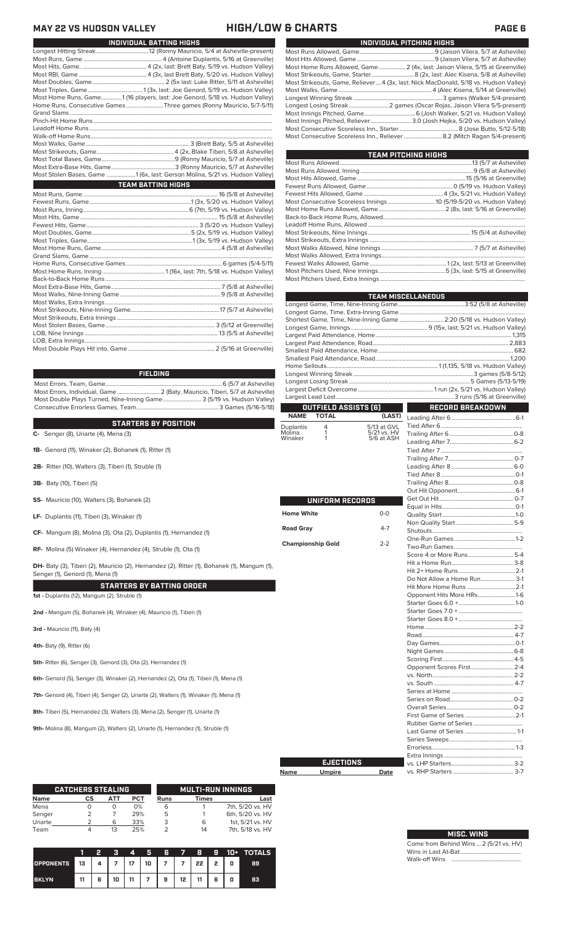## **MAY 22 VS HUDSON VALLEY HIGH/LOW & CHARTS PAGE 6** L

| INDIVIDUAL BATTING HIGHS                                                     |  |
|------------------------------------------------------------------------------|--|
|                                                                              |  |
|                                                                              |  |
|                                                                              |  |
|                                                                              |  |
|                                                                              |  |
|                                                                              |  |
| Most Home Runs, Game1 (16 players, last: Joe Genord, 5/18 vs. Hudson Valley) |  |
| Home Runs, Consecutive Games Three games (Ronny Mauricio, 5/7-5/11)          |  |
|                                                                              |  |
|                                                                              |  |
|                                                                              |  |
|                                                                              |  |
|                                                                              |  |
|                                                                              |  |
|                                                                              |  |
|                                                                              |  |
| Most Stolen Bases, Game 1 (6x, last: Gerson Molina, 5/21 vs. Hudson Valley)  |  |
| <b>TEAM BATTING HIGHS</b>                                                    |  |
|                                                                              |  |
|                                                                              |  |
|                                                                              |  |
|                                                                              |  |
|                                                                              |  |
|                                                                              |  |
|                                                                              |  |
|                                                                              |  |
|                                                                              |  |
|                                                                              |  |
|                                                                              |  |
|                                                                              |  |
|                                                                              |  |
|                                                                              |  |
|                                                                              |  |
|                                                                              |  |
|                                                                              |  |
|                                                                              |  |
|                                                                              |  |
|                                                                              |  |

Most Double Plays Hit into, Game........................................................... 2 (5/16 at Greenville)

## **FIELDING**

Most Errors, Team, Game...............................................................................6 (5/7 at Asheville) .<br>2 (Baty, Mauricio, Tiberi, 5/7 at Asheville)<br>e........................... 3 (5/19 vs. Hudson Valley) Most Double Plays Turned, Nine-Inning Game.......................... 3 (5/19 vs. Hudson Valley) Consecutive Errorless Games, Team.

## **C-** Senger (8), Uriarte (4), Mena (3) **STARTERS BY POSITION**

- 
- **1B-** Genord (11), Winaker (2), Bohanek (1), Ritter (1)
- **2B-** Ritter (10), Walters (3), Tiberi (1), Struble (1)
- **3B-** Baty (10), Tiberi (5)
- **SS-** Mauricio (10), Walters (3), Bohanek (2)
- **LF-** Duplantis (11), Tiberi (3), Winaker (1)
- **CF-** Mangum (8), Molina (3), Ota (2), Duplantis (1), Hernandez (1)
- **RF-** Molina (5) Winaker (4), Hernandez (4), Struble (1), Ota (1)

DH- Baty (3), Tiberi (2), Mauricio (2), Hernandez (2), Ritter (1), Bohanek (1), Mangum (1), Senger (1), Genord (1), Mena (1)

## **STARTERS BY BATTING ORDER 1st -** Duplantis (12), Mangum (2), Struble (1)

**2nd -** Mangum (5), Bohanek (4), Winaker (4), Mauricio (1), Tiberi (1)

**3rd -** Mauricio (11), Baty (4)

**4th-** Baty (9), Ritter (6)

**5th-** Ritter (6), Senger (3), Genord (3), Ota (2), Hernandez (1)

**6th-** Genord (5), Senger (3), Winaker (2), Hernandez (2), Ota (1), Tiberi (1), Mena (1)

**7th-** Genord (4), Tiberi (4), Senger (2), Uriarte (2), Walters (1), Winaker (1), Mena (1)

**8th-** Tiberi (5), Hernandez (3), Walters (3), Mena (2), Senger (1), Uriarte (1)

**9th-** Molina (8), Mangum (2), Walters (2), Uriarte (1), Hernandez (1), Struble (1)

|             | <b>CATCHERS STEALING</b> |     |     | <b>MULTI-RUN INNINGS</b> |              |                  |  |
|-------------|--------------------------|-----|-----|--------------------------|--------------|------------------|--|
| <b>Name</b> | CS                       | АТТ | PCT | <b>Runs</b>              | <b>Times</b> | Last             |  |
| Mena        |                          | O   | 0%  | 6                        |              | 7th, 5/20 vs. HV |  |
| Senger      |                          |     | 29% | 5                        |              | 6th, 5/20 vs. HV |  |
| Uriarte     |                          | 6   | 33% | 3                        | 6            | 1st. 5/21 vs. HV |  |
| Team        |                          | 13  | 25% |                          | 14           | 7th, 5/18 vs. HV |  |

|                                                     |    | ъ |        |                          |  |  | 3 4 5 6 7 8 9 10 + TOTALS |
|-----------------------------------------------------|----|---|--------|--------------------------|--|--|---------------------------|
| OPPONENTS 13   4   7   17   10   7   7   22   2   0 |    |   |        |                          |  |  | 89                        |
| <b>BKLYN</b>                                        | 11 |   | 6   10 | 11   7   9   12   11   6 |  |  | 83                        |

|                                                                                     | INDIVIDUAL PITCHING HIGHS                                               |
|-------------------------------------------------------------------------------------|-------------------------------------------------------------------------|
|                                                                                     |                                                                         |
|                                                                                     |                                                                         |
| Most Home Runs Allowed, Game 2 (4x, last: Jaison Vilera, 5/15 at Greenville)        |                                                                         |
|                                                                                     |                                                                         |
| Most Strikeouts, Game, Reliever4 (3x, last: Nick MacDonald, 5/18 vs. Hudson Valley) |                                                                         |
|                                                                                     |                                                                         |
|                                                                                     |                                                                         |
|                                                                                     | Longest Losing Streak2 games (Oscar Rojas, Jaison Vilera 5/5-present)   |
|                                                                                     |                                                                         |
| Most Innings Pitched, Reliever  3.0 (Josh Hejka, 5/20 vs. Hudson Valley)            |                                                                         |
|                                                                                     |                                                                         |
|                                                                                     | Most Consecutive Scoreless Inn., Reliever 8.2 (Mitch Ragan 5/4-present) |
|                                                                                     |                                                                         |

| TEAM PITCHING HIGHS                                                 |  |
|---------------------------------------------------------------------|--|
|                                                                     |  |
|                                                                     |  |
|                                                                     |  |
|                                                                     |  |
|                                                                     |  |
| Most Consecutive Scoreless Innings 10 (5/19-5/20 vs. Hudson Valley) |  |
|                                                                     |  |
|                                                                     |  |
|                                                                     |  |
|                                                                     |  |
|                                                                     |  |
|                                                                     |  |
|                                                                     |  |
|                                                                     |  |
|                                                                     |  |
|                                                                     |  |

|                     |                             |                           | <b>TEAM MISCELLANEOUS</b>                                            |  |  |  |  |  |
|---------------------|-----------------------------|---------------------------|----------------------------------------------------------------------|--|--|--|--|--|
|                     |                             |                           |                                                                      |  |  |  |  |  |
|                     |                             |                           |                                                                      |  |  |  |  |  |
|                     |                             |                           | Shortest Game, Time, Nine-Inning Game  2:20 (5/18 vs. Hudson Valley) |  |  |  |  |  |
|                     |                             |                           |                                                                      |  |  |  |  |  |
|                     |                             |                           |                                                                      |  |  |  |  |  |
|                     |                             |                           |                                                                      |  |  |  |  |  |
|                     |                             |                           |                                                                      |  |  |  |  |  |
|                     |                             |                           |                                                                      |  |  |  |  |  |
|                     |                             |                           |                                                                      |  |  |  |  |  |
|                     |                             |                           |                                                                      |  |  |  |  |  |
|                     |                             |                           |                                                                      |  |  |  |  |  |
|                     |                             |                           |                                                                      |  |  |  |  |  |
|                     | <b>OUTFIELD ASSISTS (6)</b> |                           | <b>RECORD BREAKDOWN</b>                                              |  |  |  |  |  |
| <b>NAME</b>         | <b>TOTAL</b>                | (LAST)                    |                                                                      |  |  |  |  |  |
|                     |                             |                           |                                                                      |  |  |  |  |  |
| Duplantis<br>Molina | 4<br>1                      | 5/13 at GVL               |                                                                      |  |  |  |  |  |
| Winaker             | i                           | 5/21 vs. HV<br>5/6 at ASH |                                                                      |  |  |  |  |  |
|                     |                             |                           |                                                                      |  |  |  |  |  |
|                     |                             |                           |                                                                      |  |  |  |  |  |
|                     |                             |                           |                                                                      |  |  |  |  |  |
|                     |                             |                           |                                                                      |  |  |  |  |  |
|                     |                             |                           |                                                                      |  |  |  |  |  |
|                     |                             |                           |                                                                      |  |  |  |  |  |
|                     |                             |                           |                                                                      |  |  |  |  |  |
|                     | UNIFORM RECORDS             |                           |                                                                      |  |  |  |  |  |
| <b>Home White</b>   |                             | $0-0$                     |                                                                      |  |  |  |  |  |
|                     |                             |                           |                                                                      |  |  |  |  |  |
| <b>Road Gray</b>    |                             | $4 - 7$                   |                                                                      |  |  |  |  |  |
|                     |                             |                           |                                                                      |  |  |  |  |  |
|                     | <b>Championship Gold</b>    | $2 - 2$                   |                                                                      |  |  |  |  |  |
|                     |                             |                           |                                                                      |  |  |  |  |  |
|                     |                             |                           |                                                                      |  |  |  |  |  |
|                     |                             |                           |                                                                      |  |  |  |  |  |
|                     |                             |                           | Do Not Allow a Home Run 3-1                                          |  |  |  |  |  |
|                     |                             |                           |                                                                      |  |  |  |  |  |
|                     |                             |                           | Opponent Hits More HRs1-6                                            |  |  |  |  |  |
|                     |                             |                           |                                                                      |  |  |  |  |  |
|                     |                             |                           |                                                                      |  |  |  |  |  |
|                     |                             |                           |                                                                      |  |  |  |  |  |
|                     |                             |                           |                                                                      |  |  |  |  |  |
|                     |                             |                           |                                                                      |  |  |  |  |  |
|                     |                             |                           |                                                                      |  |  |  |  |  |
|                     |                             |                           |                                                                      |  |  |  |  |  |
|                     |                             |                           |                                                                      |  |  |  |  |  |
|                     |                             |                           | Opponent Scores First 2-4                                            |  |  |  |  |  |
|                     |                             |                           |                                                                      |  |  |  |  |  |
|                     |                             |                           |                                                                      |  |  |  |  |  |
|                     |                             |                           |                                                                      |  |  |  |  |  |
|                     |                             |                           |                                                                      |  |  |  |  |  |
|                     |                             |                           |                                                                      |  |  |  |  |  |
|                     |                             |                           |                                                                      |  |  |  |  |  |
|                     |                             |                           |                                                                      |  |  |  |  |  |
|                     |                             |                           |                                                                      |  |  |  |  |  |
|                     |                             |                           |                                                                      |  |  |  |  |  |
|                     |                             |                           |                                                                      |  |  |  |  |  |
|                     |                             |                           |                                                                      |  |  |  |  |  |
|                     | <b>EJECTIONS</b>            |                           |                                                                      |  |  |  |  |  |

**Name Umpire Date**

| <b>MISC. WINS</b>                      |
|----------------------------------------|
| Come from Behind Wins  2 (5/21 vs. HV) |

П

vs. RHP Starters ......................................... 3-7

Wins in Last At-Bat......................................... Walk-off Wins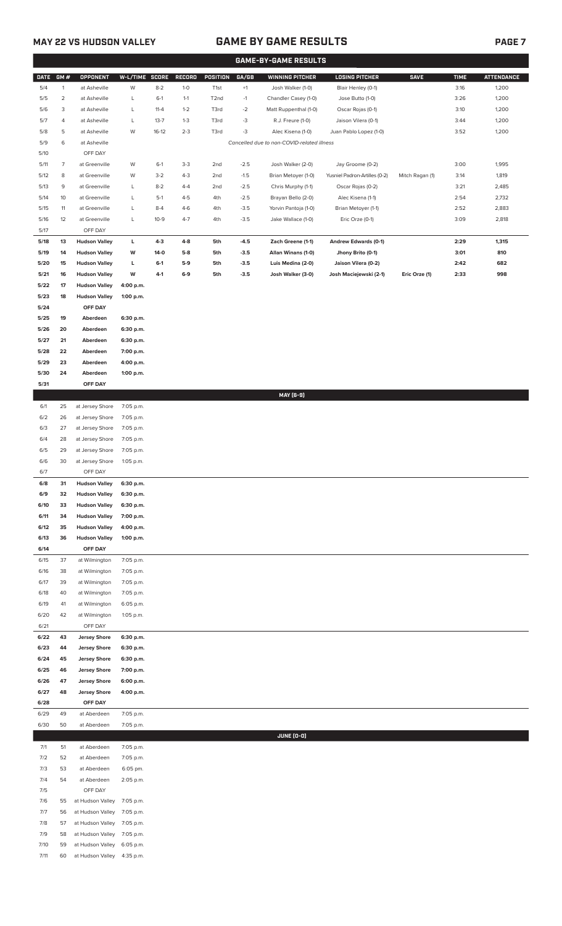# **MAY 22 VS HUDSON VALLEY GAME BY GAME RESULTS PAGE 7**

|              | <b>GAME-BY-GAME RESULTS</b> |                                              |                        |          |         |                   |        |                                            |                               |                 |             |                   |
|--------------|-----------------------------|----------------------------------------------|------------------------|----------|---------|-------------------|--------|--------------------------------------------|-------------------------------|-----------------|-------------|-------------------|
| <b>DATE</b>  | GM#                         | <b>OPPONENT</b>                              | W-L/TIME SCORE         |          | RECORD  | POSITION          | GA/GB  | <b>WINNING PITCHER</b>                     | <b>LOSING PITCHER</b>         | <b>SAVE</b>     | <b>TIME</b> | <b>ATTENDANCE</b> |
| 5/4          | $\mathbf{1}$                | at Asheville                                 | W                      | $8 - 2$  | $1 - 0$ | T <sub>1st</sub>  | $+1$   | Josh Walker (1-0)                          | Blair Henley (0-1)            |                 | 3:16        | 1,200             |
| 5/5          | $\overline{2}$              | at Asheville                                 | L                      | $6-1$    | $1 - 1$ | T <sub>2</sub> nd | $-1$   | Chandler Casey (1-0)                       | Jose Butto (1-0)              |                 | 3:26        | 1,200             |
| 5/6          | 3                           | at Asheville                                 | L                      | $11 - 4$ | $1 - 2$ | T3rd              | $-2$   | Matt Ruppenthal (1-0)                      | Oscar Rojas (0-1)             |                 | 3:10        | 1,200             |
| 5/7          | 4                           | at Asheville                                 | L                      | $13 - 7$ | $1 - 3$ | T3rd              | $-3$   | R.J. Freure (1-0)                          | Jaison Vilera (0-1)           |                 | 3:44        | 1,200             |
| 5/8          | 5                           | at Asheville                                 | W                      | $16-12$  | $2 - 3$ | T3rd              | $-3$   | Alec Kisena (1-0)                          | Juan Pablo Lopez (1-0)        |                 | 3:52        | 1,200             |
| 5/9          | 6                           | at Asheville                                 |                        |          |         |                   |        | Cancelled due to non-COVID-related illness |                               |                 |             |                   |
| 5/10         |                             | OFF DAY                                      |                        |          |         |                   |        |                                            |                               |                 |             |                   |
| 5/11         | $\overline{7}$              | at Greenville                                | W                      | $6-1$    | $3-3$   | 2nd               | $-2.5$ | Josh Walker (2-0)                          | Jay Groome (0-2)              |                 | 3:00        | 1,995             |
| 5/12         | 8                           | at Greenville                                | W                      | $3 - 2$  | $4 - 3$ | 2nd               | $-1.5$ | Brian Metoyer (1-0)                        | Yusniel Padron-Artilles (0-2) | Mitch Ragan (1) | 3:14        | 1,819             |
| 5/13         | 9                           | at Greenville                                | L                      | $8 - 2$  | $4 - 4$ | 2nd               | $-2.5$ | Chris Murphy (1-1)                         | Oscar Rojas (0-2)             |                 | 3:21        | 2,485             |
| 5/14         | 10                          | at Greenville                                | L                      | $5-1$    | $4 - 5$ | 4th               | $-2.5$ | Brayan Bello (2-0)                         | Alec Kisena (1-1)             |                 | 2:54        | 2,732             |
| 5/15         | 11                          | at Greenville                                | L                      | $8 - 4$  | $4-6$   | 4th               | $-3.5$ | Yorvin Pantoja (1-0)                       | Brian Metoyer (1-1)           |                 | 2:52        | 2,883             |
| 5/16         | 12                          | at Greenville                                | L                      | $10-9$   | $4 - 7$ | 4th               | $-3.5$ | Jake Wallace (1-0)                         | Eric Orze (0-1)               |                 | 3:09        | 2,818             |
| 5/17         |                             | OFF DAY                                      |                        |          |         |                   |        |                                            |                               |                 |             |                   |
| 5/18         | 13                          | <b>Hudson Valley</b>                         | L                      | 4-3      | 4-8     | 5th               | $-4.5$ | Zach Greene (1-1)                          | Andrew Edwards (0-1)          |                 | 2:29        | 1,315             |
| 5/19         | 14                          | <b>Hudson Valley</b>                         | w                      | 14-0     | $5-8$   | 5th               | $-3.5$ | Allan Winans (1-0)                         | Jhony Brito (0-1)             |                 | 3:01        | 810               |
| 5/20         | 15                          | <b>Hudson Valley</b>                         | L                      | $6-1$    | $5-9$   | 5th               | $-3.5$ | Luis Medina (2-0)                          | Jaison Vilera (0-2)           |                 | 2:42        | 682               |
| 5/21<br>5/22 | 16                          | <b>Hudson Valley</b><br><b>Hudson Valley</b> | W                      | $4 - 1$  | $6-9$   | 5th               | $-3.5$ | Josh Walker (3-0)                          | Josh Maciejewski (2-1)        | Eric Orze (1)   | 2:33        | 998               |
| 5/23         | 17<br>18                    | <b>Hudson Valley</b>                         | 4:00 p.m.<br>1:00 p.m. |          |         |                   |        |                                            |                               |                 |             |                   |
| 5/24         |                             | OFF DAY                                      |                        |          |         |                   |        |                                            |                               |                 |             |                   |
| 5/25         | 19                          | Aberdeen                                     | 6:30 p.m.              |          |         |                   |        |                                            |                               |                 |             |                   |
| 5/26         | 20                          | Aberdeen                                     | 6:30 p.m.              |          |         |                   |        |                                            |                               |                 |             |                   |
| 5/27         | 21                          | Aberdeen                                     | 6:30 p.m.              |          |         |                   |        |                                            |                               |                 |             |                   |
| 5/28         | 22                          | Aberdeen                                     | 7:00 p.m.              |          |         |                   |        |                                            |                               |                 |             |                   |
| 5/29         | 23                          | Aberdeen                                     | 4:00 p.m.              |          |         |                   |        |                                            |                               |                 |             |                   |
| 5/30         | 24                          | Aberdeen                                     | 1:00 p.m.              |          |         |                   |        |                                            |                               |                 |             |                   |
| 5/31         |                             | OFF DAY                                      |                        |          |         |                   |        |                                            |                               |                 |             |                   |
|              |                             |                                              |                        |          |         |                   |        | MAY [6-9]                                  |                               |                 |             |                   |
| 6/1          | 25                          | at Jersey Shore                              | 7:05 p.m.              |          |         |                   |        |                                            |                               |                 |             |                   |
| 6/2          | 26                          | at Jersey Shore                              | 7:05 p.m.              |          |         |                   |        |                                            |                               |                 |             |                   |
| 6/3          | 27                          | at Jersey Shore                              | 7:05 p.m.              |          |         |                   |        |                                            |                               |                 |             |                   |
| 6/4          | 28                          | at Jersey Shore                              | 7:05 p.m.              |          |         |                   |        |                                            |                               |                 |             |                   |
| 6/5          | 29                          | at Jersey Shore                              | 7:05 p.m.              |          |         |                   |        |                                            |                               |                 |             |                   |
| 6/6          | 30                          | at Jersey Shore                              | 1:05 p.m.              |          |         |                   |        |                                            |                               |                 |             |                   |
| 6/7          |                             | OFF DAY                                      |                        |          |         |                   |        |                                            |                               |                 |             |                   |
| 6/8<br>6/9   | 31<br>32                    | <b>Hudson Valley</b>                         | 6:30 p.m.              |          |         |                   |        |                                            |                               |                 |             |                   |
| 6/10         | 33                          | <b>Hudson Valley</b><br><b>Hudson Valley</b> | 6:30 p.m.<br>6:30 p.m. |          |         |                   |        |                                            |                               |                 |             |                   |
| 6/11         | 34                          | <b>Hudson Valley</b>                         | 7:00 p.m.              |          |         |                   |        |                                            |                               |                 |             |                   |
| 6/12         | 35                          | <b>Hudson Valley</b>                         | 4:00 p.m.              |          |         |                   |        |                                            |                               |                 |             |                   |
| 6/13         | 36                          | <b>Hudson Valley</b>                         | 1:00 p.m.              |          |         |                   |        |                                            |                               |                 |             |                   |
| 6/14         |                             | OFF DAY                                      |                        |          |         |                   |        |                                            |                               |                 |             |                   |
| 6/15         | 37                          | at Wilmington                                | 7:05 p.m.              |          |         |                   |        |                                            |                               |                 |             |                   |
| 6/16         | 38                          | at Wilmington                                | 7:05 p.m.              |          |         |                   |        |                                            |                               |                 |             |                   |
| 6/17         | 39                          | at Wilmington                                | 7:05 p.m.              |          |         |                   |        |                                            |                               |                 |             |                   |
| 6/18         | 40                          | at Wilmington                                | 7:05 p.m.              |          |         |                   |        |                                            |                               |                 |             |                   |
| 6/19         | 41                          | at Wilmington                                | 6:05 p.m.              |          |         |                   |        |                                            |                               |                 |             |                   |
| 6/20         | 42                          | at Wilmington                                | 1:05 p.m.              |          |         |                   |        |                                            |                               |                 |             |                   |
| 6/21         |                             | OFF DAY                                      |                        |          |         |                   |        |                                            |                               |                 |             |                   |
| 6/22         | 43                          | <b>Jersey Shore</b>                          | 6:30 p.m.              |          |         |                   |        |                                            |                               |                 |             |                   |
| 6/23         | 44                          | <b>Jersey Shore</b>                          | 6:30 p.m.              |          |         |                   |        |                                            |                               |                 |             |                   |
| 6/24         | 45                          | <b>Jersey Shore</b>                          | 6:30 p.m.              |          |         |                   |        |                                            |                               |                 |             |                   |
| 6/25         | 46                          | <b>Jersey Shore</b>                          | 7:00 p.m.              |          |         |                   |        |                                            |                               |                 |             |                   |
| 6/26         | 47                          | <b>Jersey Shore</b>                          | 6:00 p.m.              |          |         |                   |        |                                            |                               |                 |             |                   |
| 6/27         | 48                          | <b>Jersey Shore</b>                          | 4:00 p.m.              |          |         |                   |        |                                            |                               |                 |             |                   |
| 6/28<br>6/29 | 49                          | OFF DAY<br>at Aberdeen                       | 7:05 p.m.              |          |         |                   |        |                                            |                               |                 |             |                   |
| 6/30         | 50                          | at Aberdeen                                  | 7:05 p.m.              |          |         |                   |        |                                            |                               |                 |             |                   |
|              |                             |                                              |                        |          |         |                   |        | <b>JUNE (0-0)</b>                          |                               |                 |             |                   |
| 7/1          | 51                          | at Aberdeen                                  | 7:05 p.m.              |          |         |                   |        |                                            |                               |                 |             |                   |
| 7/2          | 52                          | at Aberdeen                                  | 7:05 p.m.              |          |         |                   |        |                                            |                               |                 |             |                   |
| 7/3          | 53                          | at Aberdeen                                  | 6:05 pm.               |          |         |                   |        |                                            |                               |                 |             |                   |
| 7/4          | 54                          | at Aberdeen                                  | 2:05 p.m.              |          |         |                   |        |                                            |                               |                 |             |                   |
| 7/5          |                             | OFF DAY                                      |                        |          |         |                   |        |                                            |                               |                 |             |                   |
| 7/6          | 55                          | at Hudson Valley                             | 7:05 p.m.              |          |         |                   |        |                                            |                               |                 |             |                   |
| 7/7          | 56                          | at Hudson Valley                             | 7:05 p.m.              |          |         |                   |        |                                            |                               |                 |             |                   |
| 7/8          | 57                          | at Hudson Valley                             | 7:05 p.m.              |          |         |                   |        |                                            |                               |                 |             |                   |
| 7/9          | 58                          | at Hudson Valley                             | 7:05 p.m.              |          |         |                   |        |                                            |                               |                 |             |                   |
| 7/10         | 59                          | at Hudson Valley                             | 6:05 p.m.              |          |         |                   |        |                                            |                               |                 |             |                   |

7/11 60 at Hudson Valley 4:35 p.m.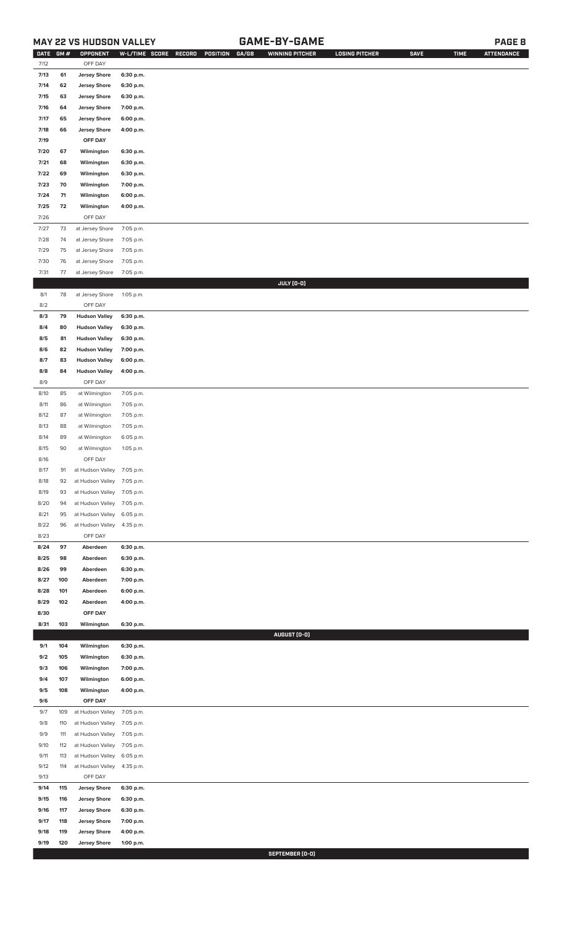## **MAY 22 VS HUDSON VALLEY GAME-BY-GAME PAGE 8**

| <b>DATE</b> | <b>GM#</b> | OPPONENT                                   | W-L/TIME SCORE | RECORD<br>POSITION GA/GB | WINNING PITCHER | <b>LOSING PITCHER</b> | <b>SAVE</b> | <b>TIME</b> | <b>ATTENDANCE</b> |
|-------------|------------|--------------------------------------------|----------------|--------------------------|-----------------|-----------------------|-------------|-------------|-------------------|
| 7/12        |            | OFF DAY                                    |                |                          |                 |                       |             |             |                   |
| 7/13        | 61         | <b>Jersey Shore</b>                        | 6:30 p.m.      |                          |                 |                       |             |             |                   |
| 7/14        | 62         | <b>Jersey Shore</b>                        | 6:30 p.m.      |                          |                 |                       |             |             |                   |
| 7/15        | 63         | <b>Jersey Shore</b>                        | 6:30 p.m.      |                          |                 |                       |             |             |                   |
| 7/16        | 64         | <b>Jersey Shore</b>                        | 7:00 p.m.      |                          |                 |                       |             |             |                   |
| 7/17        | 65         | <b>Jersey Shore</b>                        | 6:00 p.m.      |                          |                 |                       |             |             |                   |
| 7/18        | 66         | <b>Jersey Shore</b>                        | 4:00 p.m.      |                          |                 |                       |             |             |                   |
| 7/19        |            | OFF DAY                                    |                |                          |                 |                       |             |             |                   |
|             | 67         |                                            |                |                          |                 |                       |             |             |                   |
| 7/20        |            | Wilmington                                 | 6:30 p.m.      |                          |                 |                       |             |             |                   |
| 7/21        | 68         | Wilmington                                 | 6:30 p.m.      |                          |                 |                       |             |             |                   |
| 7/22        | 69         | Wilmington                                 | 6:30 p.m.      |                          |                 |                       |             |             |                   |
| 7/23        | 70         | Wilmington                                 | 7:00 p.m.      |                          |                 |                       |             |             |                   |
| 7/24        | 71         | Wilmington                                 | 6:00 p.m.      |                          |                 |                       |             |             |                   |
| 7/25        | 72         | Wilmington                                 | 4:00 p.m.      |                          |                 |                       |             |             |                   |
| 7/26        |            | OFF DAY                                    |                |                          |                 |                       |             |             |                   |
| 7/27        | 73         | at Jersey Shore                            | 7:05 p.m.      |                          |                 |                       |             |             |                   |
| 7/28        | 74         | at Jersey Shore                            | 7:05 p.m.      |                          |                 |                       |             |             |                   |
| 7/29        | 75         | at Jersey Shore                            | 7:05 p.m.      |                          |                 |                       |             |             |                   |
| 7/30        | 76         | at Jersey Shore                            | 7:05 p.m.      |                          |                 |                       |             |             |                   |
| 7/31        | 77         | at Jersey Shore                            | 7:05 p.m.      |                          |                 |                       |             |             |                   |
|             |            |                                            |                |                          | JULY (0-0)      |                       |             |             |                   |
| 8/1         | 78         | at Jersey Shore                            | 1:05 p.m.      |                          |                 |                       |             |             |                   |
| 8/2         |            | OFF DAY                                    |                |                          |                 |                       |             |             |                   |
| 8/3         | 79         | <b>Hudson Valley</b>                       | 6:30 p.m.      |                          |                 |                       |             |             |                   |
| 8/4         | 80         | <b>Hudson Valley</b>                       | 6:30 p.m.      |                          |                 |                       |             |             |                   |
| 8/5         | 81         | <b>Hudson Valley</b>                       | 6:30 p.m.      |                          |                 |                       |             |             |                   |
| 8/6         | 82         | <b>Hudson Valley</b>                       | 7:00 p.m.      |                          |                 |                       |             |             |                   |
|             |            |                                            |                |                          |                 |                       |             |             |                   |
| 8/7         | 83         | <b>Hudson Valley</b>                       | 6:00 p.m.      |                          |                 |                       |             |             |                   |
| 8/8         | 84         | <b>Hudson Valley</b>                       | 4:00 p.m.      |                          |                 |                       |             |             |                   |
| 8/9         |            | OFF DAY                                    |                |                          |                 |                       |             |             |                   |
| 8/10        | 85         | at Wilmington                              | 7:05 p.m.      |                          |                 |                       |             |             |                   |
| 8/11        | 86         | at Wilmington                              | 7:05 p.m.      |                          |                 |                       |             |             |                   |
| 8/12        | 87         | at Wilmington                              | 7:05 p.m.      |                          |                 |                       |             |             |                   |
| 8/13        | 88         | at Wilmington                              | 7:05 p.m.      |                          |                 |                       |             |             |                   |
| 8/14        | 89         | at Wilmington                              | 6:05 p.m.      |                          |                 |                       |             |             |                   |
| 8/15        | 90         | at Wilmington                              | 1:05 p.m.      |                          |                 |                       |             |             |                   |
| 8/16        |            | OFF DAY                                    |                |                          |                 |                       |             |             |                   |
| 8/17        | 91         | at Hudson Valley 7:05 p.m.                 |                |                          |                 |                       |             |             |                   |
| 8/18        | 92         | at Hudson Valley 7:05 p.m.                 |                |                          |                 |                       |             |             |                   |
| 8/19        | 93         | at Hudson Valley 7:05 p.m.                 |                |                          |                 |                       |             |             |                   |
| 8/20        | 94         | at Hudson Valley 7:05 p.m.                 |                |                          |                 |                       |             |             |                   |
| 8/21        | 95         | at Hudson Valley                           | 6:05 p.m.      |                          |                 |                       |             |             |                   |
| 8/22        | 96         | at Hudson Valley                           | 4:35 p.m.      |                          |                 |                       |             |             |                   |
| 8/23        |            | OFF DAY                                    |                |                          |                 |                       |             |             |                   |
| 8/24        | 97         | Aberdeen                                   |                |                          |                 |                       |             |             |                   |
|             |            |                                            | 6:30 p.m.      |                          |                 |                       |             |             |                   |
| 8/25        | 98         | Aberdeen                                   | 6:30 p.m.      |                          |                 |                       |             |             |                   |
| 8/26        | 99         | Aberdeen                                   | 6:30 p.m.      |                          |                 |                       |             |             |                   |
| 8/27        | 100        | Aberdeen                                   | 7:00 p.m.      |                          |                 |                       |             |             |                   |
| 8/28        | 101        | Aberdeen                                   | 6:00 p.m.      |                          |                 |                       |             |             |                   |
| 8/29        | 102        | Aberdeen                                   | 4:00 p.m.      |                          |                 |                       |             |             |                   |
| 8/30        |            | OFF DAY                                    |                |                          |                 |                       |             |             |                   |
| 8/31        | 103        | Wilmington                                 | 6:30 p.m.      |                          |                 |                       |             |             |                   |
|             |            |                                            |                |                          | AUGUST (0-0)    |                       |             |             |                   |
| 9/1         | 104        | Wilmington                                 | 6:30 p.m.      |                          |                 |                       |             |             |                   |
| 9/2         | 105        | Wilmington                                 | 6:30 p.m.      |                          |                 |                       |             |             |                   |
| 9/3         | 106        | Wilmington                                 | 7:00 p.m.      |                          |                 |                       |             |             |                   |
| 9/4         | 107        | Wilmington                                 | 6:00 p.m.      |                          |                 |                       |             |             |                   |
| 9/5         | 108        | Wilmington                                 | 4:00 p.m.      |                          |                 |                       |             |             |                   |
| 9/6         |            | OFF DAY                                    |                |                          |                 |                       |             |             |                   |
| 9/7         | 109        | at Hudson Valley                           | 7:05 p.m.      |                          |                 |                       |             |             |                   |
| 9/8         | 110        | at Hudson Valley                           | 7:05 p.m.      |                          |                 |                       |             |             |                   |
| 9/9         | 111        | at Hudson Valley                           | 7:05 p.m.      |                          |                 |                       |             |             |                   |
| 9/10        | 112        | at Hudson Valley                           | 7:05 p.m.      |                          |                 |                       |             |             |                   |
| 9/11        | 113        | at Hudson Valley                           | 6:05 p.m.      |                          |                 |                       |             |             |                   |
| 9/12        | 114        | at Hudson Valley                           | 4:35 p.m.      |                          |                 |                       |             |             |                   |
| 9/13        |            | OFF DAY                                    |                |                          |                 |                       |             |             |                   |
| 9/14        | 115        |                                            |                |                          |                 |                       |             |             |                   |
|             | 116        | <b>Jersey Shore</b><br><b>Jersey Shore</b> | 6:30 p.m.      |                          |                 |                       |             |             |                   |
| 9/15        |            |                                            | 6:30 p.m.      |                          |                 |                       |             |             |                   |
| 9/16        | 117        | <b>Jersey Shore</b>                        | 6:30 p.m.      |                          |                 |                       |             |             |                   |
| 9/17        | 118        | <b>Jersey Shore</b>                        | 7:00 p.m.      |                          |                 |                       |             |             |                   |
| 9/18        | 119        | <b>Jersey Shore</b>                        | 4:00 p.m.      |                          |                 |                       |             |             |                   |
| 9/19        | 120        | <b>Jersey Shore</b>                        | 1:00 p.m.      |                          |                 |                       |             |             |                   |

**SEPTEMBER (0-0)**<br>External SEPTEMBER (0-0)